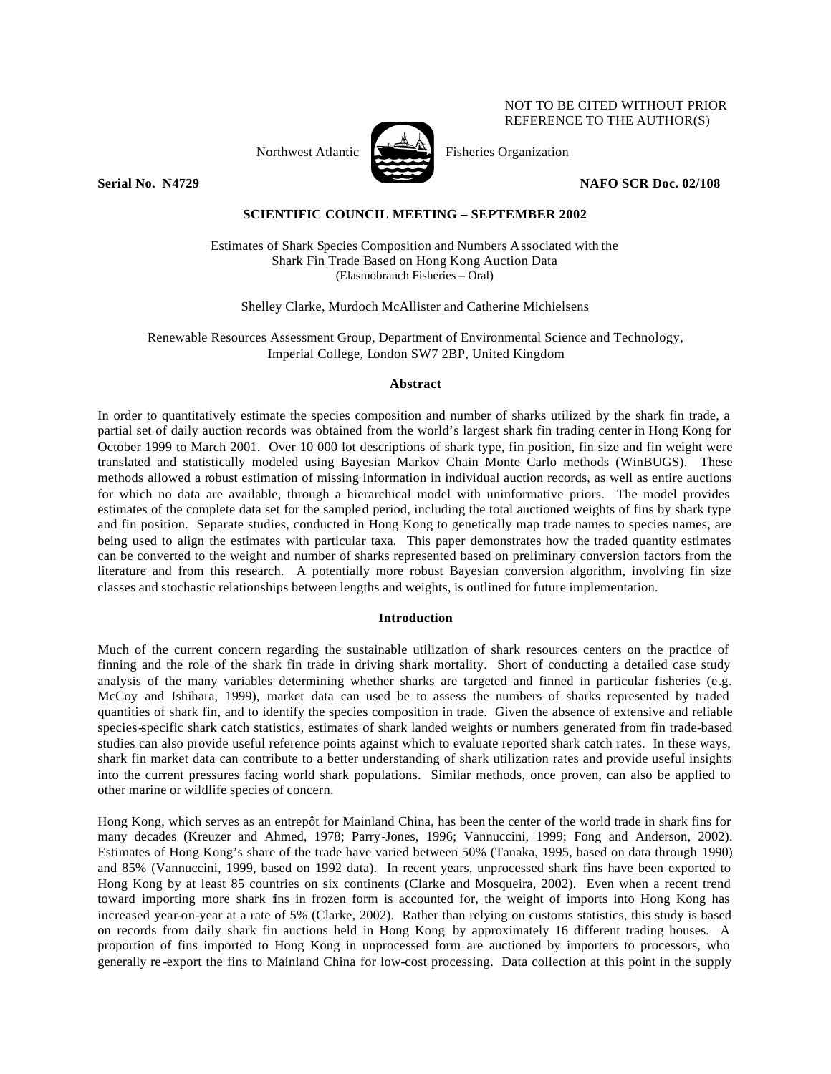# NOT TO BE CITED WITHOUT PRIOR REFERENCE TO THE AUTHOR(S)

Northwest Atlantic  $\sum_{n=1}^{\infty}$  Fisheries Organization



**Serial No. N4729 NAFO SCR Doc. 02/108**

## **SCIENTIFIC COUNCIL MEETING – SEPTEMBER 2002**

Estimates of Shark Species Composition and Numbers Associated with the Shark Fin Trade Based on Hong Kong Auction Data (Elasmobranch Fisheries – Oral)

Shelley Clarke, Murdoch McAllister and Catherine Michielsens

Renewable Resources Assessment Group, Department of Environmental Science and Technology, Imperial College, London SW7 2BP, United Kingdom

## **Abstract**

In order to quantitatively estimate the species composition and number of sharks utilized by the shark fin trade, a partial set of daily auction records was obtained from the world's largest shark fin trading center in Hong Kong for October 1999 to March 2001. Over 10 000 lot descriptions of shark type, fin position, fin size and fin weight were translated and statistically modeled using Bayesian Markov Chain Monte Carlo methods (WinBUGS). These methods allowed a robust estimation of missing information in individual auction records, as well as entire auctions for which no data are available, through a hierarchical model with uninformative priors. The model provides estimates of the complete data set for the sampled period, including the total auctioned weights of fins by shark type and fin position. Separate studies, conducted in Hong Kong to genetically map trade names to species names, are being used to align the estimates with particular taxa. This paper demonstrates how the traded quantity estimates can be converted to the weight and number of sharks represented based on preliminary conversion factors from the literature and from this research. A potentially more robust Bayesian conversion algorithm, involving fin size classes and stochastic relationships between lengths and weights, is outlined for future implementation.

### **Introduction**

Much of the current concern regarding the sustainable utilization of shark resources centers on the practice of finning and the role of the shark fin trade in driving shark mortality. Short of conducting a detailed case study analysis of the many variables determining whether sharks are targeted and finned in particular fisheries (e.g. McCoy and Ishihara, 1999), market data can used be to assess the numbers of sharks represented by traded quantities of shark fin, and to identify the species composition in trade. Given the absence of extensive and reliable species-specific shark catch statistics, estimates of shark landed weights or numbers generated from fin trade-based studies can also provide useful reference points against which to evaluate reported shark catch rates. In these ways, shark fin market data can contribute to a better understanding of shark utilization rates and provide useful insights into the current pressures facing world shark populations. Similar methods, once proven, can also be applied to other marine or wildlife species of concern.

Hong Kong, which serves as an entrepôt for Mainland China, has been the center of the world trade in shark fins for many decades (Kreuzer and Ahmed, 1978; Parry-Jones, 1996; Vannuccini, 1999; Fong and Anderson, 2002). Estimates of Hong Kong's share of the trade have varied between 50% (Tanaka, 1995, based on data through 1990) and 85% (Vannuccini, 1999, based on 1992 data). In recent years, unprocessed shark fins have been exported to Hong Kong by at least 85 countries on six continents (Clarke and Mosqueira, 2002). Even when a recent trend toward importing more shark fins in frozen form is accounted for, the weight of imports into Hong Kong has increased year-on-year at a rate of 5% (Clarke, 2002). Rather than relying on customs statistics, this study is based on records from daily shark fin auctions held in Hong Kong by approximately 16 different trading houses. A proportion of fins imported to Hong Kong in unprocessed form are auctioned by importers to processors, who generally re -export the fins to Mainland China for low-cost processing. Data collection at this point in the supply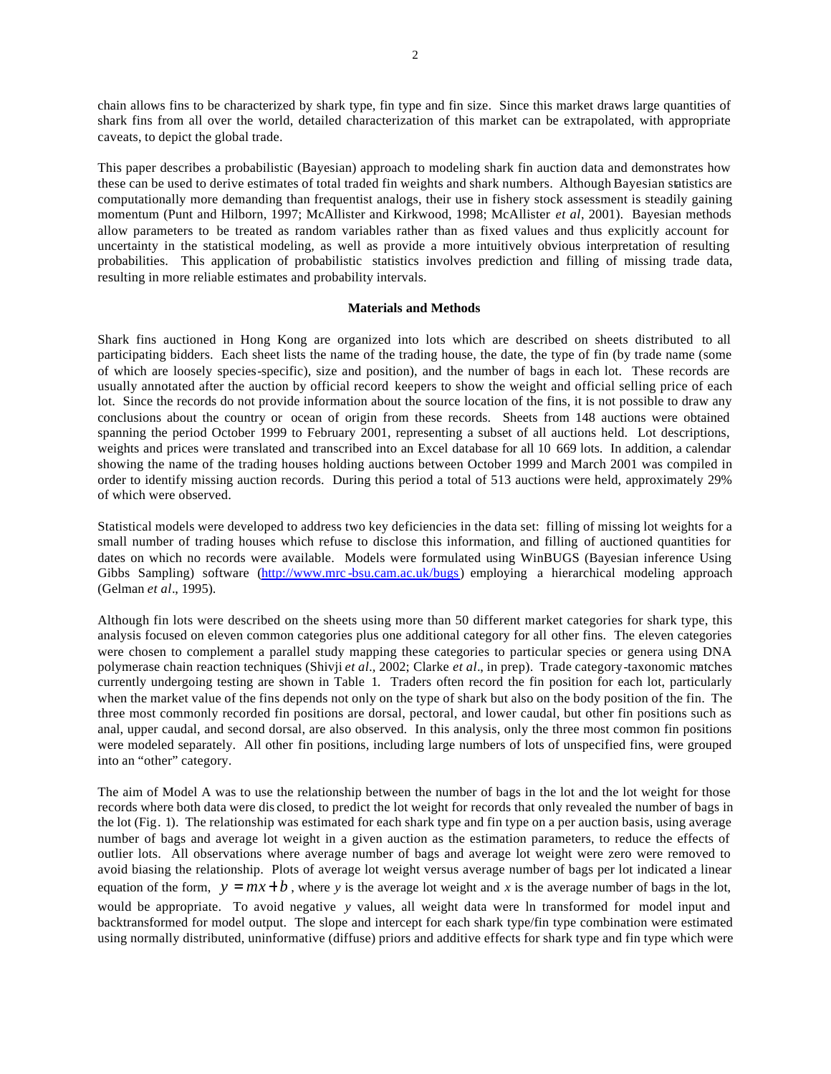chain allows fins to be characterized by shark type, fin type and fin size. Since this market draws large quantities of shark fins from all over the world, detailed characterization of this market can be extrapolated, with appropriate caveats, to depict the global trade.

This paper describes a probabilistic (Bayesian) approach to modeling shark fin auction data and demonstrates how these can be used to derive estimates of total traded fin weights and shark numbers. Although Bayesian statistics are computationally more demanding than frequentist analogs, their use in fishery stock assessment is steadily gaining momentum (Punt and Hilborn, 1997; McAllister and Kirkwood, 1998; McAllister *et al*, 2001). Bayesian methods allow parameters to be treated as random variables rather than as fixed values and thus explicitly account for uncertainty in the statistical modeling, as well as provide a more intuitively obvious interpretation of resulting probabilities. This application of probabilistic statistics involves prediction and filling of missing trade data, resulting in more reliable estimates and probability intervals.

#### **Materials and Methods**

Shark fins auctioned in Hong Kong are organized into lots which are described on sheets distributed to all participating bidders. Each sheet lists the name of the trading house, the date, the type of fin (by trade name (some of which are loosely species-specific), size and position), and the number of bags in each lot. These records are usually annotated after the auction by official record keepers to show the weight and official selling price of each lot. Since the records do not provide information about the source location of the fins, it is not possible to draw any conclusions about the country or ocean of origin from these records. Sheets from 148 auctions were obtained spanning the period October 1999 to February 2001, representing a subset of all auctions held. Lot descriptions, weights and prices were translated and transcribed into an Excel database for all 10 669 lots. In addition, a calendar showing the name of the trading houses holding auctions between October 1999 and March 2001 was compiled in order to identify missing auction records. During this period a total of 513 auctions were held, approximately 29% of which were observed.

Statistical models were developed to address two key deficiencies in the data set: filling of missing lot weights for a small number of trading houses which refuse to disclose this information, and filling of auctioned quantities for dates on which no records were available. Models were formulated using WinBUGS (Bayesian inference Using Gibbs Sampling) software (<http://www.mrc> -bsu.cam.ac.uk/bugs) employing a hierarchical modeling approach (Gelman *et al*., 1995).

Although fin lots were described on the sheets using more than 50 different market categories for shark type, this analysis focused on eleven common categories plus one additional category for all other fins. The eleven categories were chosen to complement a parallel study mapping these categories to particular species or genera using DNA polymerase chain reaction techniques (Shivji *et al.,* 2002; Clarke *et al*., in prep). Trade category-taxonomic matches currently undergoing testing are shown in Table 1. Traders often record the fin position for each lot, particularly when the market value of the fins depends not only on the type of shark but also on the body position of the fin. The three most commonly recorded fin positions are dorsal, pectoral, and lower caudal, but other fin positions such as anal, upper caudal, and second dorsal, are also observed. In this analysis, only the three most common fin positions were modeled separately. All other fin positions, including large numbers of lots of unspecified fins, were grouped into an "other" category.

The aim of Model A was to use the relationship between the number of bags in the lot and the lot weight for those records where both data were dis closed, to predict the lot weight for records that only revealed the number of bags in the lot (Fig. 1). The relationship was estimated for each shark type and fin type on a per auction basis, using average number of bags and average lot weight in a given auction as the estimation parameters, to reduce the effects of outlier lots. All observations where average number of bags and average lot weight were zero were removed to avoid biasing the relationship. Plots of average lot weight versus average number of bags per lot indicated a linear equation of the form,  $y = mx + b$ , where *y* is the average lot weight and *x* is the average number of bags in the lot, would be appropriate. To avoid negative *y* values, all weight data were ln transformed for model input and backtransformed for model output. The slope and intercept for each shark type/fin type combination were estimated using normally distributed, uninformative (diffuse) priors and additive effects for shark type and fin type which were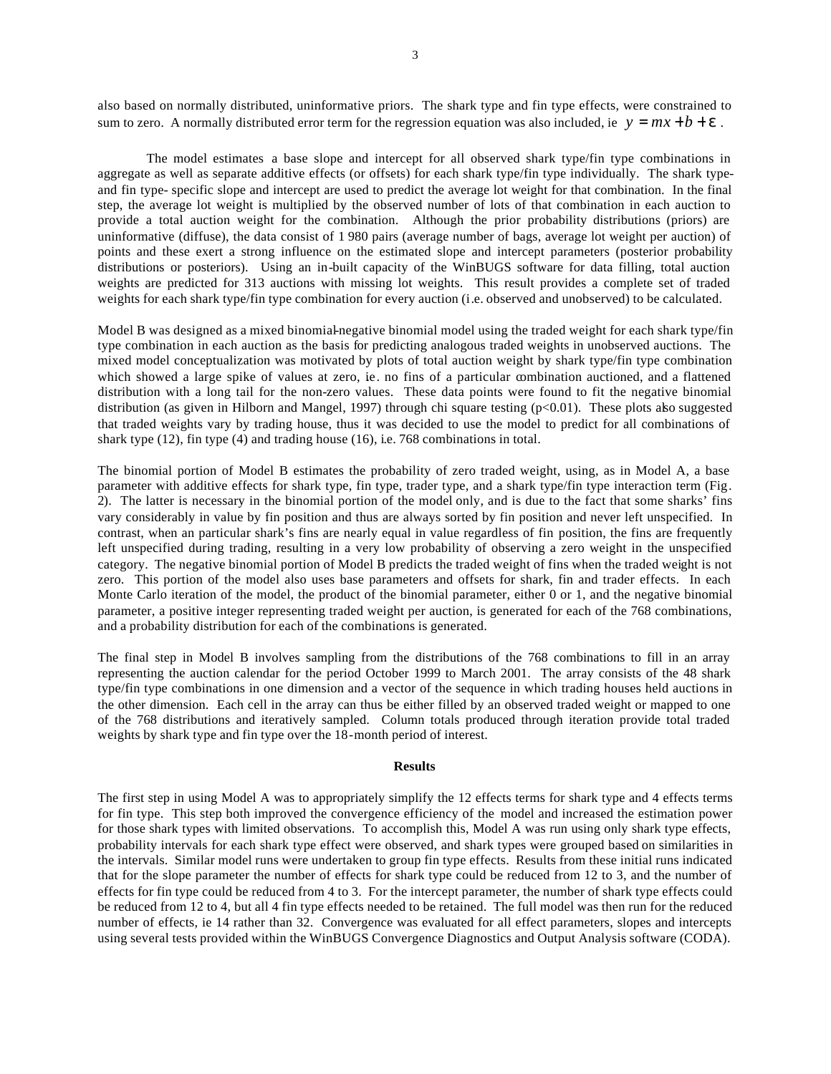also based on normally distributed, uninformative priors. The shark type and fin type effects, were constrained to sum to zero. A normally distributed error term for the regression equation was also included, ie  $y = mx + b + e$ .

The model estimates a base slope and intercept for all observed shark type/fin type combinations in aggregate as well as separate additive effects (or offsets) for each shark type/fin type individually. The shark typeand fin type- specific slope and intercept are used to predict the average lot weight for that combination. In the final step, the average lot weight is multiplied by the observed number of lots of that combination in each auction to provide a total auction weight for the combination. Although the prior probability distributions (priors) are uninformative (diffuse), the data consist of 1 980 pairs (average number of bags, average lot weight per auction) of points and these exert a strong influence on the estimated slope and intercept parameters (posterior probability distributions or posteriors). Using an in-built capacity of the WinBUGS software for data filling, total auction weights are predicted for 313 auctions with missing lot weights. This result provides a complete set of traded weights for each shark type/fin type combination for every auction (i.e. observed and unobserved) to be calculated.

Model B was designed as a mixed binomial-negative binomial model using the traded weight for each shark type/fin type combination in each auction as the basis for predicting analogous traded weights in unobserved auctions. The mixed model conceptualization was motivated by plots of total auction weight by shark type/fin type combination which showed a large spike of values at zero, ie. no fins of a particular combination auctioned, and a flattened distribution with a long tail for the non-zero values. These data points were found to fit the negative binomial distribution (as given in Hilborn and Mangel, 1997) through chi square testing (p<0.01). These plots also suggested that traded weights vary by trading house, thus it was decided to use the model to predict for all combinations of shark type (12), fin type (4) and trading house (16), i.e. 768 combinations in total.

The binomial portion of Model B estimates the probability of zero traded weight, using, as in Model A, a base parameter with additive effects for shark type, fin type, trader type, and a shark type/fin type interaction term (Fig. 2). The latter is necessary in the binomial portion of the model only, and is due to the fact that some sharks' fins vary considerably in value by fin position and thus are always sorted by fin position and never left unspecified. In contrast, when an particular shark's fins are nearly equal in value regardless of fin position, the fins are frequently left unspecified during trading, resulting in a very low probability of observing a zero weight in the unspecified category. The negative binomial portion of Model B predicts the traded weight of fins when the traded weight is not zero. This portion of the model also uses base parameters and offsets for shark, fin and trader effects. In each Monte Carlo iteration of the model, the product of the binomial parameter, either 0 or 1, and the negative binomial parameter, a positive integer representing traded weight per auction, is generated for each of the 768 combinations, and a probability distribution for each of the combinations is generated.

The final step in Model B involves sampling from the distributions of the 768 combinations to fill in an array representing the auction calendar for the period October 1999 to March 2001. The array consists of the 48 shark type/fin type combinations in one dimension and a vector of the sequence in which trading houses held auctions in the other dimension. Each cell in the array can thus be either filled by an observed traded weight or mapped to one of the 768 distributions and iteratively sampled. Column totals produced through iteration provide total traded weights by shark type and fin type over the 18-month period of interest.

### **Results**

The first step in using Model A was to appropriately simplify the 12 effects terms for shark type and 4 effects terms for fin type. This step both improved the convergence efficiency of the model and increased the estimation power for those shark types with limited observations. To accomplish this, Model A was run using only shark type effects, probability intervals for each shark type effect were observed, and shark types were grouped based on similarities in the intervals. Similar model runs were undertaken to group fin type effects. Results from these initial runs indicated that for the slope parameter the number of effects for shark type could be reduced from 12 to 3, and the number of effects for fin type could be reduced from 4 to 3. For the intercept parameter, the number of shark type effects could be reduced from 12 to 4, but all 4 fin type effects needed to be retained. The full model was then run for the reduced number of effects, ie 14 rather than 32. Convergence was evaluated for all effect parameters, slopes and intercepts using several tests provided within the WinBUGS Convergence Diagnostics and Output Analysis software (CODA).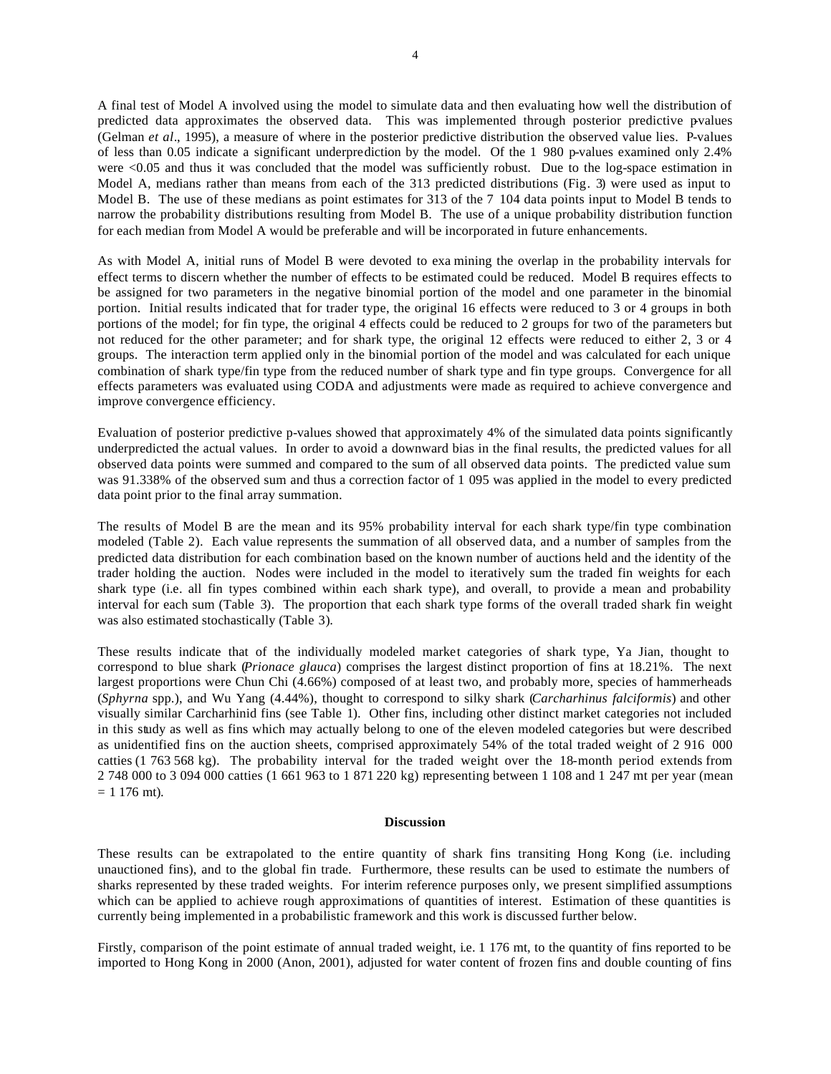A final test of Model A involved using the model to simulate data and then evaluating how well the distribution of predicted data approximates the observed data. This was implemented through posterior predictive p-values (Gelman *et al*., 1995), a measure of where in the posterior predictive distribution the observed value lies. P-values of less than 0.05 indicate a significant underprediction by the model. Of the 1 980 p-values examined only 2.4% were <0.05 and thus it was concluded that the model was sufficiently robust. Due to the log-space estimation in Model A, medians rather than means from each of the 313 predicted distributions (Fig. 3) were used as input to Model B. The use of these medians as point estimates for 313 of the 7 104 data points input to Model B tends to narrow the probability distributions resulting from Model B. The use of a unique probability distribution function for each median from Model A would be preferable and will be incorporated in future enhancements.

As with Model A, initial runs of Model B were devoted to exa mining the overlap in the probability intervals for effect terms to discern whether the number of effects to be estimated could be reduced. Model B requires effects to be assigned for two parameters in the negative binomial portion of the model and one parameter in the binomial portion. Initial results indicated that for trader type, the original 16 effects were reduced to 3 or 4 groups in both portions of the model; for fin type, the original 4 effects could be reduced to 2 groups for two of the parameters but not reduced for the other parameter; and for shark type, the original 12 effects were reduced to either 2, 3 or 4 groups. The interaction term applied only in the binomial portion of the model and was calculated for each unique combination of shark type/fin type from the reduced number of shark type and fin type groups. Convergence for all effects parameters was evaluated using CODA and adjustments were made as required to achieve convergence and improve convergence efficiency.

Evaluation of posterior predictive p-values showed that approximately 4% of the simulated data points significantly underpredicted the actual values. In order to avoid a downward bias in the final results, the predicted values for all observed data points were summed and compared to the sum of all observed data points. The predicted value sum was 91.338% of the observed sum and thus a correction factor of 1 095 was applied in the model to every predicted data point prior to the final array summation.

The results of Model B are the mean and its 95% probability interval for each shark type/fin type combination modeled (Table 2). Each value represents the summation of all observed data, and a number of samples from the predicted data distribution for each combination based on the known number of auctions held and the identity of the trader holding the auction. Nodes were included in the model to iteratively sum the traded fin weights for each shark type (i.e. all fin types combined within each shark type), and overall, to provide a mean and probability interval for each sum (Table 3). The proportion that each shark type forms of the overall traded shark fin weight was also estimated stochastically (Table 3).

These results indicate that of the individually modeled market categories of shark type, Ya Jian, thought to correspond to blue shark (*Prionace glauca*) comprises the largest distinct proportion of fins at 18.21%. The next largest proportions were Chun Chi (4.66%) composed of at least two, and probably more, species of hammerheads (*Sphyrna* spp.), and Wu Yang (4.44%), thought to correspond to silky shark (*Carcharhinus falciformis*) and other visually similar Carcharhinid fins (see Table 1). Other fins, including other distinct market categories not included in this study as well as fins which may actually belong to one of the eleven modeled categories but were described as unidentified fins on the auction sheets, comprised approximately 54% of the total traded weight of 2 916 000 catties (1 763 568 kg). The probability interval for the traded weight over the 18-month period extends from 2 748 000 to 3 094 000 catties (1 661 963 to 1 871 220 kg) representing between 1 108 and 1 247 mt per year (mean  $= 1 176$  mt).

#### **Discussion**

These results can be extrapolated to the entire quantity of shark fins transiting Hong Kong (i.e. including unauctioned fins), and to the global fin trade. Furthermore, these results can be used to estimate the numbers of sharks represented by these traded weights. For interim reference purposes only, we present simplified assumptions which can be applied to achieve rough approximations of quantities of interest. Estimation of these quantities is currently being implemented in a probabilistic framework and this work is discussed further below.

Firstly, comparison of the point estimate of annual traded weight, i.e. 1 176 mt, to the quantity of fins reported to be imported to Hong Kong in 2000 (Anon, 2001), adjusted for water content of frozen fins and double counting of fins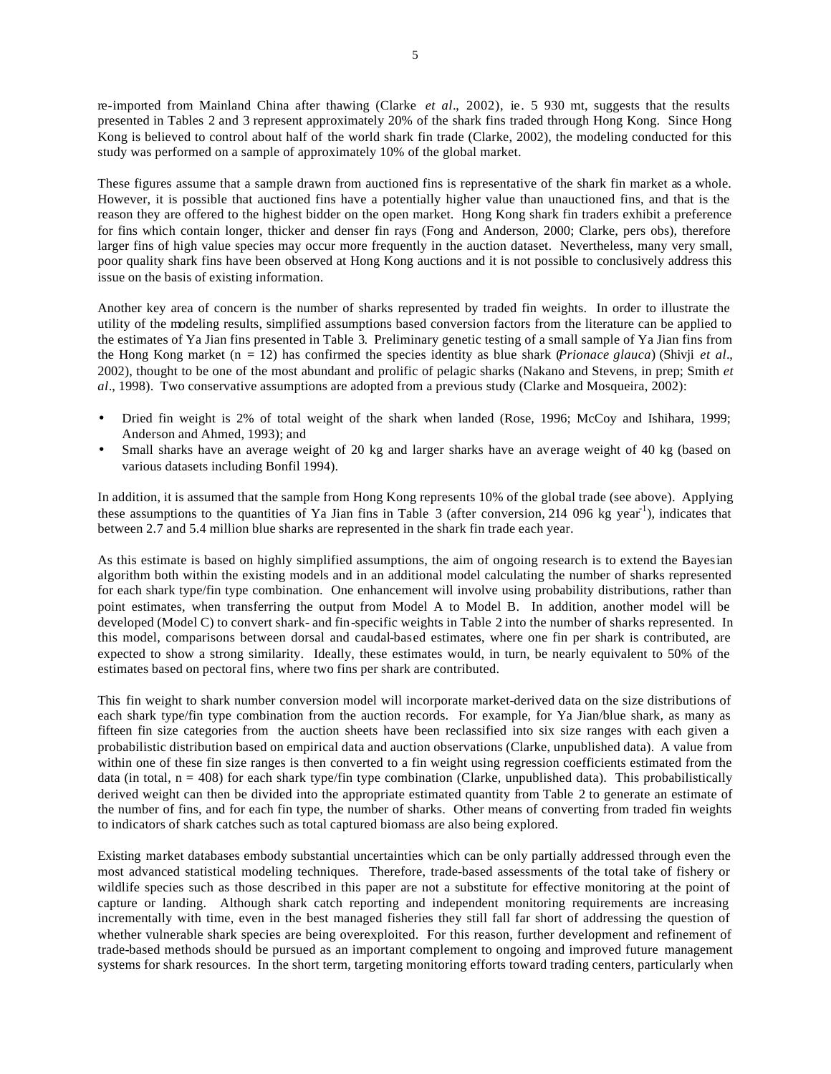re-imported from Mainland China after thawing (Clarke *et al.*, 2002), ie. 5 930 mt, suggests that the results presented in Tables 2 and 3 represent approximately 20% of the shark fins traded through Hong Kong. Since Hong Kong is believed to control about half of the world shark fin trade (Clarke, 2002), the modeling conducted for this study was performed on a sample of approximately 10% of the global market.

These figures assume that a sample drawn from auctioned fins is representative of the shark fin market as a whole. However, it is possible that auctioned fins have a potentially higher value than unauctioned fins, and that is the reason they are offered to the highest bidder on the open market. Hong Kong shark fin traders exhibit a preference for fins which contain longer, thicker and denser fin rays (Fong and Anderson, 2000; Clarke, pers obs), therefore larger fins of high value species may occur more frequently in the auction dataset. Nevertheless, many very small, poor quality shark fins have been observed at Hong Kong auctions and it is not possible to conclusively address this issue on the basis of existing information.

Another key area of concern is the number of sharks represented by traded fin weights. In order to illustrate the utility of the modeling results, simplified assumptions based conversion factors from the literature can be applied to the estimates of Ya Jian fins presented in Table 3. Preliminary genetic testing of a small sample of Ya Jian fins from the Hong Kong market (n = 12) has confirmed the species identity as blue shark (*Prionace glauca*) (Shivji *et al*., 2002), thought to be one of the most abundant and prolific of pelagic sharks (Nakano and Stevens, in prep; Smith *et al*., 1998). Two conservative assumptions are adopted from a previous study (Clarke and Mosqueira, 2002):

- Dried fin weight is 2% of total weight of the shark when landed (Rose, 1996; McCoy and Ishihara, 1999; Anderson and Ahmed, 1993); and
- Small sharks have an average weight of 20 kg and larger sharks have an average weight of 40 kg (based on various datasets including Bonfil 1994).

In addition, it is assumed that the sample from Hong Kong represents 10% of the global trade (see above). Applying these assumptions to the quantities of Ya Jian fins in Table  $\beta$  (after conversion, 214 096 kg year<sup>1</sup>), indicates that between 2.7 and 5.4 million blue sharks are represented in the shark fin trade each year.

As this estimate is based on highly simplified assumptions, the aim of ongoing research is to extend the Bayesian algorithm both within the existing models and in an additional model calculating the number of sharks represented for each shark type/fin type combination. One enhancement will involve using probability distributions, rather than point estimates, when transferring the output from Model A to Model B. In addition, another model will be developed (Model C) to convert shark- and fin-specific weights in Table 2 into the number of sharks represented. In this model, comparisons between dorsal and caudal-based estimates, where one fin per shark is contributed, are expected to show a strong similarity. Ideally, these estimates would, in turn, be nearly equivalent to 50% of the estimates based on pectoral fins, where two fins per shark are contributed.

This fin weight to shark number conversion model will incorporate market-derived data on the size distributions of each shark type/fin type combination from the auction records. For example, for Ya Jian/blue shark, as many as fifteen fin size categories from the auction sheets have been reclassified into six size ranges with each given a probabilistic distribution based on empirical data and auction observations (Clarke, unpublished data). A value from within one of these fin size ranges is then converted to a fin weight using regression coefficients estimated from the data (in total,  $n = 408$ ) for each shark type/fin type combination (Clarke, unpublished data). This probabilistically derived weight can then be divided into the appropriate estimated quantity from Table 2 to generate an estimate of the number of fins, and for each fin type, the number of sharks. Other means of converting from traded fin weights to indicators of shark catches such as total captured biomass are also being explored.

Existing market databases embody substantial uncertainties which can be only partially addressed through even the most advanced statistical modeling techniques. Therefore, trade-based assessments of the total take of fishery or wildlife species such as those described in this paper are not a substitute for effective monitoring at the point of capture or landing. Although shark catch reporting and independent monitoring requirements are increasing incrementally with time, even in the best managed fisheries they still fall far short of addressing the question of whether vulnerable shark species are being overexploited. For this reason, further development and refinement of trade-based methods should be pursued as an important complement to ongoing and improved future management systems for shark resources. In the short term, targeting monitoring efforts toward trading centers, particularly when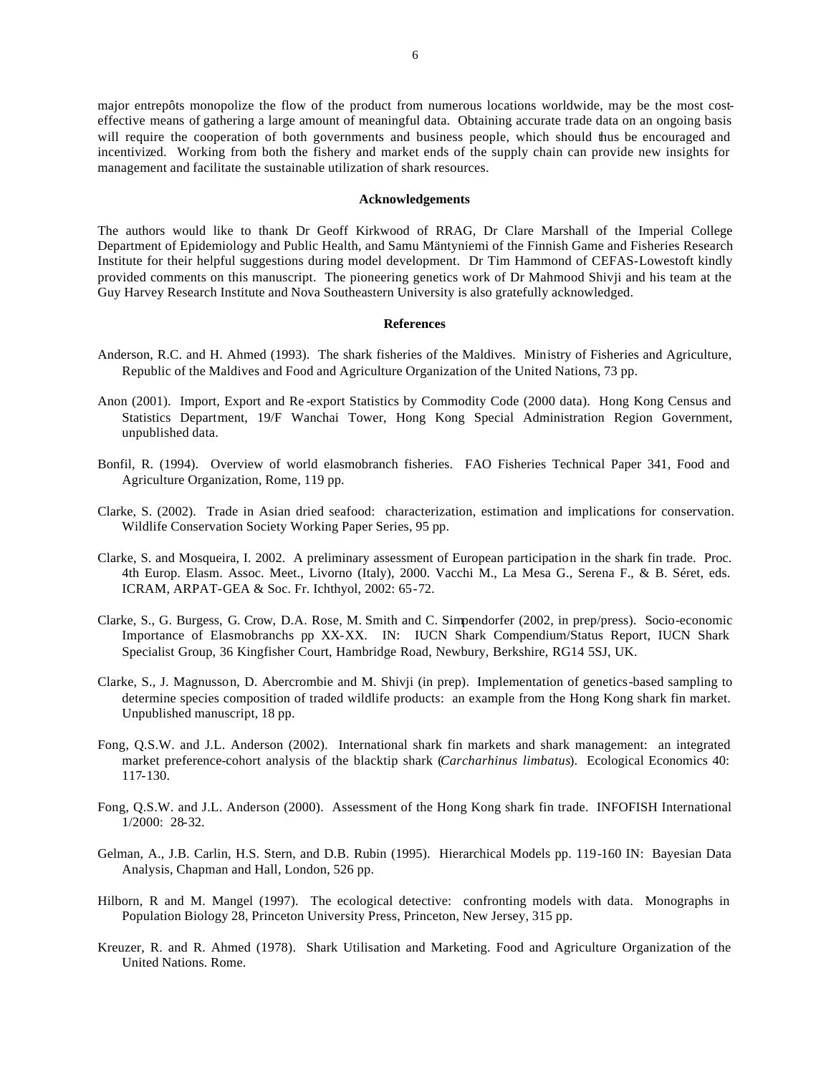major entrepôts monopolize the flow of the product from numerous locations worldwide, may be the most costeffective means of gathering a large amount of meaningful data. Obtaining accurate trade data on an ongoing basis will require the cooperation of both governments and business people, which should thus be encouraged and incentivized. Working from both the fishery and market ends of the supply chain can provide new insights for management and facilitate the sustainable utilization of shark resources.

#### **Acknowledgements**

The authors would like to thank Dr Geoff Kirkwood of RRAG, Dr Clare Marshall of the Imperial College Department of Epidemiology and Public Health, and Samu Mäntyniemi of the Finnish Game and Fisheries Research Institute for their helpful suggestions during model development. Dr Tim Hammond of CEFAS-Lowestoft kindly provided comments on this manuscript. The pioneering genetics work of Dr Mahmood Shivji and his team at the Guy Harvey Research Institute and Nova Southeastern University is also gratefully acknowledged.

#### **References**

- Anderson, R.C. and H. Ahmed (1993). The shark fisheries of the Maldives. Ministry of Fisheries and Agriculture, Republic of the Maldives and Food and Agriculture Organization of the United Nations, 73 pp.
- Anon (2001). Import, Export and Re -export Statistics by Commodity Code (2000 data). Hong Kong Census and Statistics Department, 19/F Wanchai Tower, Hong Kong Special Administration Region Government, unpublished data.
- Bonfil, R. (1994). Overview of world elasmobranch fisheries. FAO Fisheries Technical Paper 341, Food and Agriculture Organization, Rome, 119 pp.
- Clarke, S. (2002). Trade in Asian dried seafood: characterization, estimation and implications for conservation. Wildlife Conservation Society Working Paper Series, 95 pp.
- Clarke, S. and Mosqueira, I. 2002. A preliminary assessment of European participation in the shark fin trade. Proc. 4th Europ. Elasm. Assoc. Meet., Livorno (Italy), 2000. Vacchi M., La Mesa G., Serena F., & B. Séret, eds. ICRAM, ARPAT-GEA & Soc. Fr. Ichthyol, 2002: 65-72.
- Clarke, S., G. Burgess, G. Crow, D.A. Rose, M. Smith and C. Simpendorfer (2002, in prep/press). Socio-economic Importance of Elasmobranchs pp XX-XX. IN: IUCN Shark Compendium/Status Report, IUCN Shark Specialist Group, 36 Kingfisher Court, Hambridge Road, Newbury, Berkshire, RG14 5SJ, UK.
- Clarke, S., J. Magnusson, D. Abercrombie and M. Shivji (in prep). Implementation of genetics-based sampling to determine species composition of traded wildlife products: an example from the Hong Kong shark fin market. Unpublished manuscript, 18 pp.
- Fong, Q.S.W. and J.L. Anderson (2002). International shark fin markets and shark management: an integrated market preference-cohort analysis of the blacktip shark (*Carcharhinus limbatus*). Ecological Economics 40: 117-130.
- Fong, Q.S.W. and J.L. Anderson (2000). Assessment of the Hong Kong shark fin trade. INFOFISH International 1/2000: 28-32.
- Gelman, A., J.B. Carlin, H.S. Stern, and D.B. Rubin (1995). Hierarchical Models pp. 119-160 IN: Bayesian Data Analysis, Chapman and Hall, London, 526 pp.
- Hilborn, R and M. Mangel (1997). The ecological detective: confronting models with data. Monographs in Population Biology 28, Princeton University Press, Princeton, New Jersey, 315 pp.
- Kreuzer, R. and R. Ahmed (1978).Shark Utilisation and Marketing. Food and Agriculture Organization of the United Nations. Rome.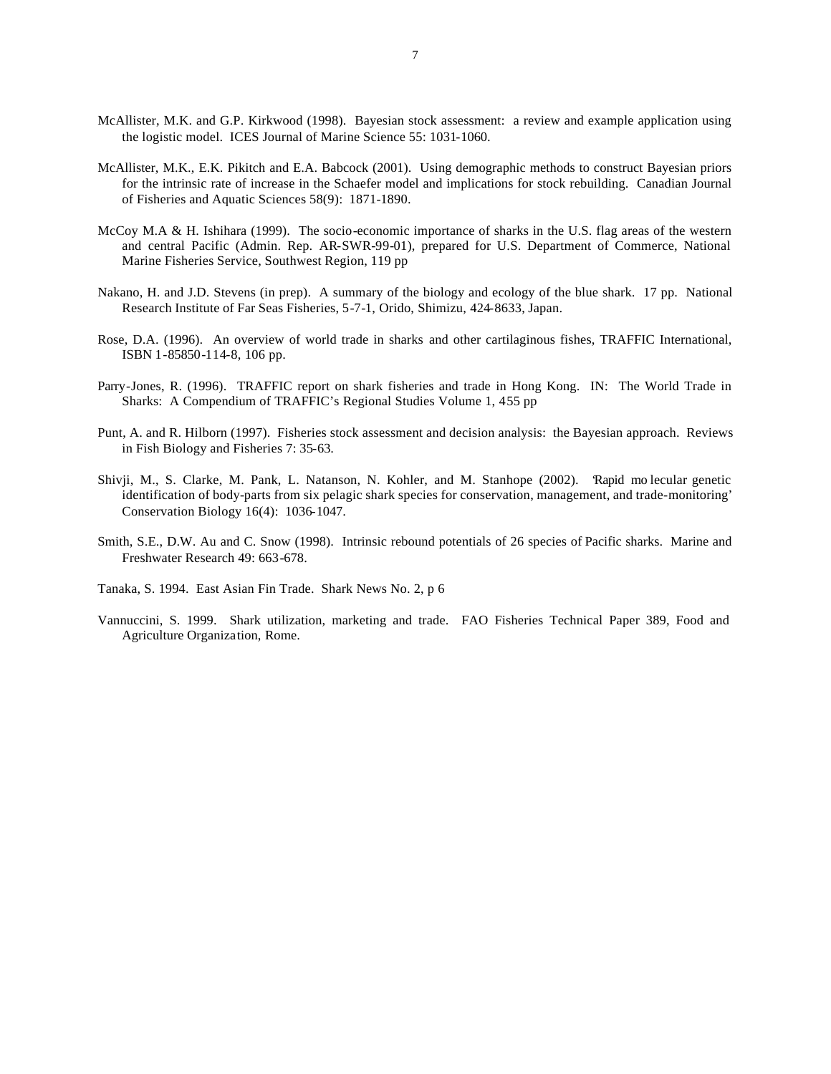- McAllister, M.K. and G.P. Kirkwood (1998). Bayesian stock assessment: a review and example application using the logistic model. ICES Journal of Marine Science 55: 1031-1060.
- McAllister, M.K., E.K. Pikitch and E.A. Babcock (2001). Using demographic methods to construct Bayesian priors for the intrinsic rate of increase in the Schaefer model and implications for stock rebuilding. Canadian Journal of Fisheries and Aquatic Sciences 58(9): 1871-1890.
- McCoy M.A & H. Ishihara (1999). The socio-economic importance of sharks in the U.S. flag areas of the western and central Pacific (Admin. Rep. AR-SWR-99-01), prepared for U.S. Department of Commerce, National Marine Fisheries Service, Southwest Region, 119 pp
- Nakano, H. and J.D. Stevens (in prep). A summary of the biology and ecology of the blue shark. 17 pp. National Research Institute of Far Seas Fisheries, 5-7-1, Orido, Shimizu, 424-8633, Japan.
- Rose, D.A. (1996). An overview of world trade in sharks and other cartilaginous fishes, TRAFFIC International, ISBN 1-85850-114-8, 106 pp.
- Parry-Jones, R. (1996). TRAFFIC report on shark fisheries and trade in Hong Kong. IN: The World Trade in Sharks: A Compendium of TRAFFIC's Regional Studies Volume 1, 455 pp
- Punt, A. and R. Hilborn (1997). Fisheries stock assessment and decision analysis: the Bayesian approach. Reviews in Fish Biology and Fisheries 7: 35-63.
- Shivji, M., S. Clarke, M. Pank, L. Natanson, N. Kohler, and M. Stanhope (2002). 'Rapid mo lecular genetic identification of body-parts from six pelagic shark species for conservation, management, and trade-monitoring' Conservation Biology 16(4): 1036-1047.
- Smith, S.E., D.W. Au and C. Snow (1998). Intrinsic rebound potentials of 26 species of Pacific sharks. Marine and Freshwater Research 49: 663-678.
- Tanaka, S. 1994. East Asian Fin Trade. Shark News No. 2, p 6
- Vannuccini, S. 1999. Shark utilization, marketing and trade. FAO Fisheries Technical Paper 389, Food and Agriculture Organization, Rome.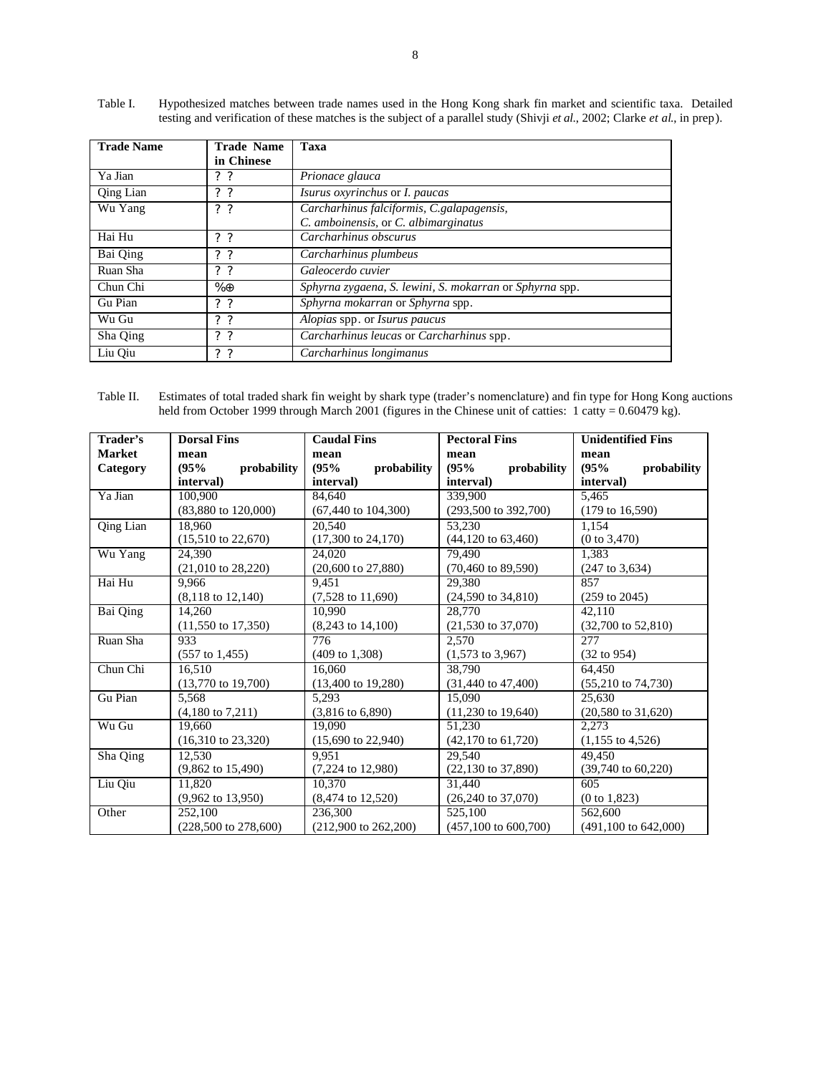| <b>Trade Name</b> | <b>Trade Name</b> | Taxa                                                    |
|-------------------|-------------------|---------------------------------------------------------|
|                   | in Chinese        |                                                         |
| Ya Jian           | $?$ ?             | Prionace glauca                                         |
| Qing Lian         | $?$ ?             | Isurus oxyrinchus or I. paucas                          |
| Wu Yang           | 2 <sub>2</sub>    | Carcharhinus falciformis, C.galapagensis,               |
|                   |                   | C. amboinensis, or C. albimarginatus                    |
| Hai Hu            | $?$ ?             | Carcharhinus obscurus                                   |
| Bai Qing          | 2 <sub>2</sub>    | Carcharhinus plumbeus                                   |
| Ruan Sha          | 2 <sub>2</sub>    | Galeocerdo cuvier                                       |
| Chun Chi          | $\% \oplus$       | Sphyrna zygaena, S. lewini, S. mokarran or Sphyrna spp. |
| Gu Pian           | $?$ ?             | Sphyrna mokarran or Sphyrna spp.                        |
| Wu Gu             | $?$ ?             | Alopias spp. or Isurus paucus                           |
| Sha Qing          | $?$ ?             | Carcharhinus leucas or Carcharhinus spp.                |
| Liu Oiu           | 2 <sub>2</sub>    | Carcharhinus longimanus                                 |

Table I. Hypothesized matches between trade names used in the Hong Kong shark fin market and scientific taxa. Detailed testing and verification of these matches is the subject of a parallel study (Shivji *et al*., 2002; Clarke *et al*., in prep).

| Table II. | Estimates of total traded shark fin weight by shark type (trader's nomenclature) and fin type for Hong Kong auctions         |
|-----------|------------------------------------------------------------------------------------------------------------------------------|
|           | held from October 1999 through March 2001 (figures in the Chinese unit of catties: $1 \text{ catty} = 0.60479 \text{ kg}$ ). |

| Trader's         | <b>Dorsal Fins</b>              | <b>Caudal Fins</b>              | <b>Pectoral Fins</b>                                           | <b>Unidentified Fins</b>        |
|------------------|---------------------------------|---------------------------------|----------------------------------------------------------------|---------------------------------|
| <b>Market</b>    | mean                            | mean                            | mean                                                           | mean                            |
| Category         | (95%<br>probability             | (95%<br>probability             | (95%<br>probability                                            | (95%<br>probability             |
|                  | interval)                       | interval)                       | interval)                                                      | interval)                       |
| Ya Jian          | 100.900                         | 84.640                          | 339,900                                                        | 5,465                           |
|                  | $(83,880 \text{ to } 120,000)$  | $(67,440 \text{ to } 104,300)$  | $(293,500 \text{ to } 392,700)$                                | $(179 \text{ to } 16,590)$      |
| <b>Qing Lian</b> | 18.960                          | 20.540                          | 53,230                                                         | 1.154                           |
|                  | $(15,510 \text{ to } 22,670)$   | $(17,300 \text{ to } 24,170)$   | $(44,120 \text{ to } 63,460)$                                  | (0 to 3,470)                    |
| Wu Yang          | 24.390                          | 24,020                          | 79.490                                                         | 1.383                           |
|                  | $(21,010 \text{ to } 28,220)$   | $(20,600 \text{ to } 27,880)$   | $(70,460 \text{ to } 89,590)$                                  | $(247 \text{ to } 3,634)$       |
| Hai Hu           | 9.966                           | 9.451                           | 29.380                                                         | 857                             |
|                  | $(8,118 \text{ to } 12,140)$    | $(7,528 \text{ to } 11,690)$    | $(24,590 \text{ to } 34,810)$                                  | $(259 \text{ to } 2045)$        |
| Bai Qing         | 14,260                          | 10.990                          | 28,770<br>42.110                                               |                                 |
|                  | $(11,550 \text{ to } 17,350)$   | $(8,243 \text{ to } 14,100)$    | $(21,530 \text{ to } 37,070)$<br>$(32,700 \text{ to } 52,810)$ |                                 |
| Ruan Sha         | 933                             | 776                             | 2.570                                                          | 277                             |
|                  | $(557 \text{ to } 1,455)$       | $(409 \text{ to } 1,308)$       | $(1,573 \text{ to } 3,967)$<br>$(32 \text{ to } 954)$          |                                 |
| Chun Chi         | 16.510                          | 16.060                          | 38,790<br>64.450                                               |                                 |
|                  | $(13,770 \text{ to } 19,700)$   | $(13,400 \text{ to } 19,280)$   | $(31,440 \text{ to } 47,400)$                                  | $(55,210 \text{ to } 74,730)$   |
| Gu Pian          | 5,568                           | 5,293                           | 15,090<br>25,630                                               |                                 |
|                  | $(4,180 \text{ to } 7,211)$     | $(3,816 \text{ to } 6,890)$     | $(11,230 \text{ to } 19,640)$                                  | $(20,580 \text{ to } 31,620)$   |
| Wu Gu            | 19.660                          | 19.090                          | 51,230<br>2,273                                                |                                 |
|                  | $(16,310 \text{ to } 23,320)$   | $(15,690 \text{ to } 22,940)$   | $(42,170 \text{ to } 61,720)$                                  | $(1,155 \text{ to } 4,526)$     |
| Sha Qing         | 12.530                          | 9.951                           | 29.540<br>49.450                                               |                                 |
|                  | $(9,862 \text{ to } 15,490)$    | $(7,224 \text{ to } 12,980)$    | $(22,130 \text{ to } 37,890)$<br>$(39,740 \text{ to } 60,220)$ |                                 |
| Liu Qiu          | 11,820                          | 10.370                          | 605<br>31,440                                                  |                                 |
|                  | $(9,962 \text{ to } 13,950)$    | $(8,474 \text{ to } 12,520)$    | $(26,240 \text{ to } 37,070)$<br>(0 to 1, 823)                 |                                 |
| Other            | 252,100                         | 236,300                         | 562,600<br>525,100                                             |                                 |
|                  | $(228,500 \text{ to } 278,600)$ | $(212,900 \text{ to } 262,200)$ | $(457,100 \text{ to } 600,700)$                                | $(491,100 \text{ to } 642,000)$ |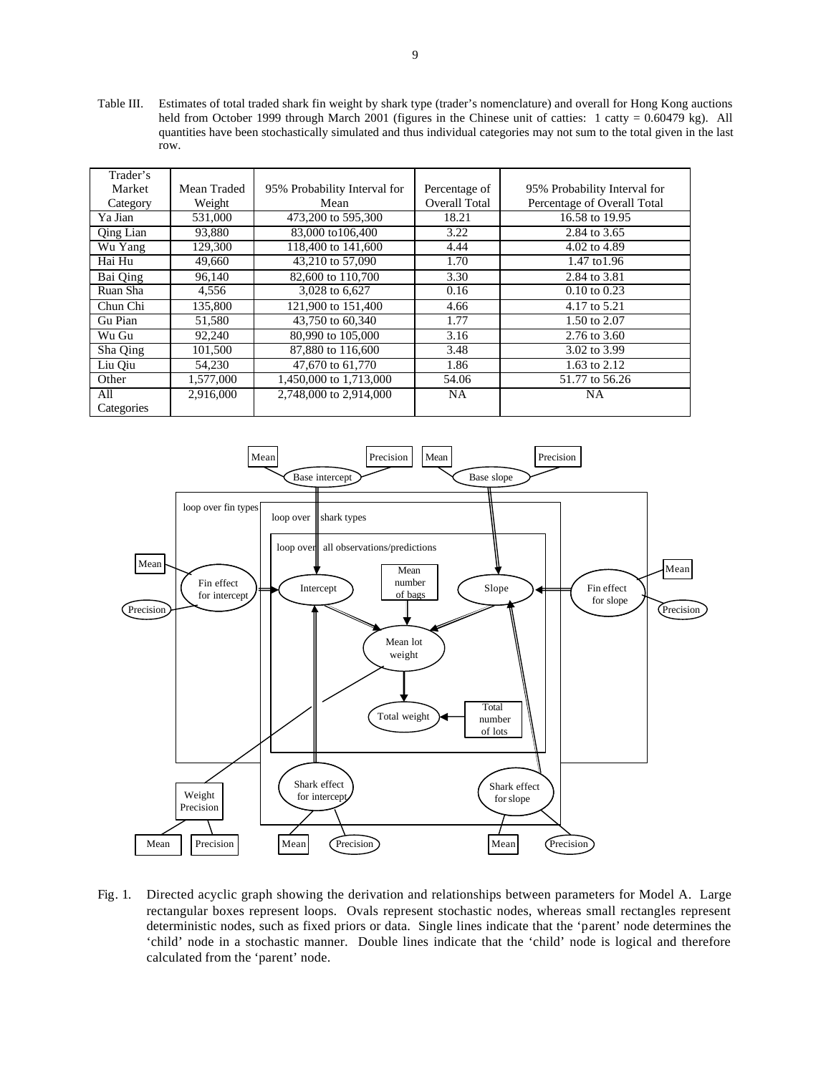Table III. Estimates of total traded shark fin weight by shark type (trader's nomenclature) and overall for Hong Kong auctions held from October 1999 through March 2001 (figures in the Chinese unit of catties: 1 catty = 0.60479 kg). All quantities have been stochastically simulated and thus individual categories may not sum to the total given in the last row.

| Trader's   |             |                              |               |                              |
|------------|-------------|------------------------------|---------------|------------------------------|
| Market     | Mean Traded | 95% Probability Interval for | Percentage of | 95% Probability Interval for |
| Category   | Weight      | Mean                         | Overall Total | Percentage of Overall Total  |
| Ya Jian    | 531,000     | 473,200 to 595,300           | 18.21         | 16.58 to 19.95               |
| Qing Lian  | 93,880      | 83,000 to 106,400            | 3.22          | 2.84 to 3.65                 |
| Wu Yang    | 129,300     | 118,400 to 141,600           | 4.44          | 4.02 to 4.89                 |
| Hai Hu     | 49,660      | 43,210 to 57,090             | 1.70          | 1.47 to 1.96                 |
| Bai Qing   | 96,140      | 82,600 to 110,700            | 3.30          | 2.84 to 3.81                 |
| Ruan Sha   | 4,556       | 3,028 to 6,627               | 0.16          | $0.10 \text{ to } 0.23$      |
| Chun Chi   | 135,800     | 121,900 to 151,400           | 4.66          | 4.17 to 5.21                 |
| Gu Pian    | 51,580      | 43,750 to 60,340             | 1.77          | 1.50 to 2.07                 |
| Wu Gu      | 92,240      | 80,990 to 105,000            | 3.16          | 2.76 to 3.60                 |
| Sha Qing   | 101,500     | 87,880 to 116,600            | 3.48          | 3.02 to 3.99                 |
| Liu Qiu    | 54,230      | 47,670 to 61,770             | 1.86          | 1.63 to 2.12                 |
| Other      | 1,577,000   | 1,450,000 to 1,713,000       | 54.06         | 51.77 to 56.26               |
| All        | 2.916.000   | 2,748,000 to 2,914,000       | <b>NA</b>     | <b>NA</b>                    |
| Categories |             |                              |               |                              |



Fig. 1. Directed acyclic graph showing the derivation and relationships between parameters for Model A. Large rectangular boxes represent loops. Ovals represent stochastic nodes, whereas small rectangles represent deterministic nodes, such as fixed priors or data. Single lines indicate that the 'parent' node determines the 'child' node in a stochastic manner. Double lines indicate that the 'child' node is logical and therefore calculated from the 'parent' node.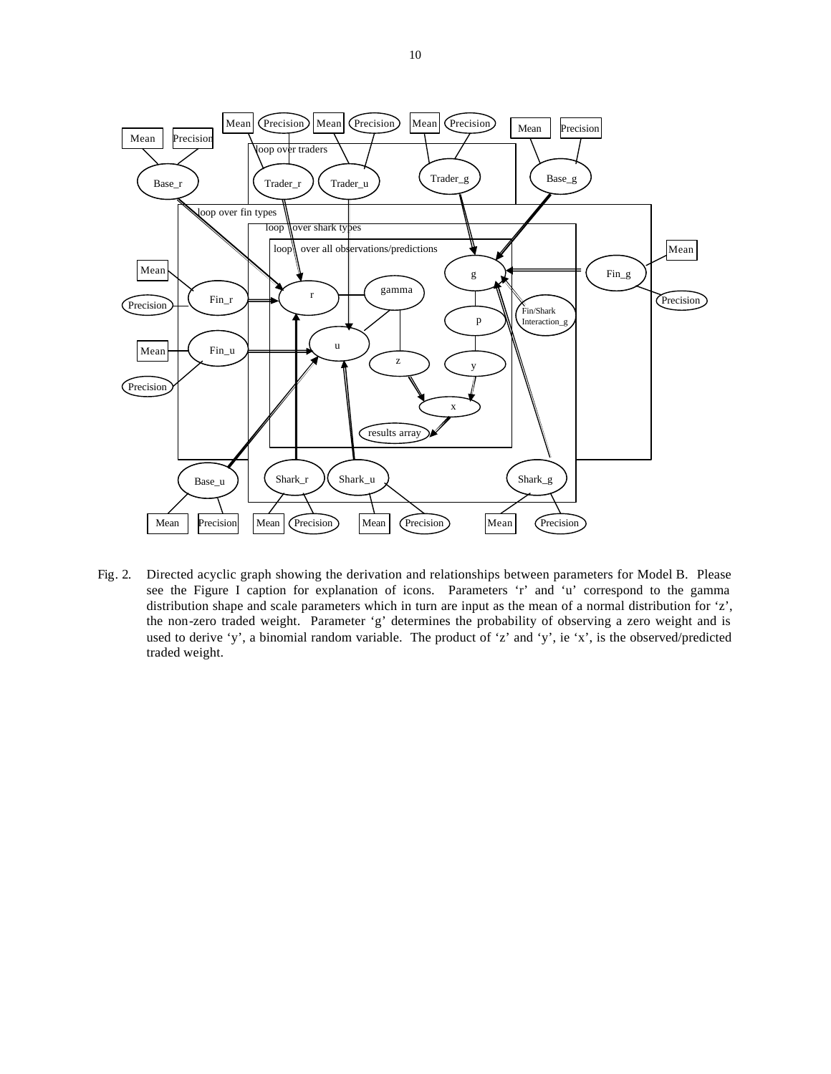

Fig. 2. Directed acyclic graph showing the derivation and relationships between parameters for Model B. Please see the Figure I caption for explanation of icons. Parameters 'r' and 'u' correspond to the gamma distribution shape and scale parameters which in turn are input as the mean of a normal distribution for 'z', the non-zero traded weight. Parameter 'g' determines the probability of observing a zero weight and is used to derive 'y', a binomial random variable. The product of 'z' and 'y', ie 'x', is the observed/predicted traded weight.